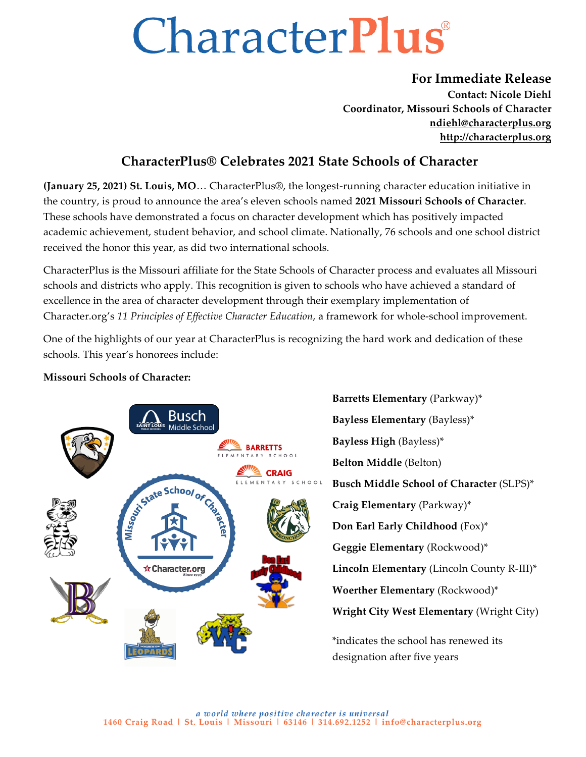# **CharacterPlus**

### **For Immediate Release**

**Contact: Nicole Diehl Coordinator, Missouri Schools of Character ndiehl@characterplus.org http://characterplus.org**

### **CharacterPlus® Celebrates 2021 State Schools of Character**

**(January 25, 2021) St. Louis, MO**… CharacterPlus®, the longest-running character education initiative in the country, is proud to announce the area's eleven schools named **2021 Missouri Schools of Character**. These schools have demonstrated a focus on character development which has positively impacted academic achievement, student behavior, and school climate. Nationally, 76 schools and one school district received the honor this year, as did two international schools.

CharacterPlus is the Missouri affiliate for the State Schools of Character process and evaluates all Missouri schools and districts who apply. This recognition is given to schools who have achieved a standard of excellence in the area of character development through their exemplary implementation of Character.org's *11 Principles of Effective Character Education*, a framework for whole-school improvement.

One of the highlights of our year at CharacterPlus is recognizing the hard work and dedication of these schools. This year's honorees include:

## **Busch** SAINTLOUIS Middle School **BARRETTS** SCHOOL NTARY **EXAGE** TARY SCHOO Signate School of Crane ☆ Character.org

#### **Missouri Schools of Character:**

**Barretts Elementary** (Parkway)\* **Bayless Elementary** (Bayless)\* **Bayless High** (Bayless)\* **Belton Middle** (Belton) **Busch Middle School of Character** (SLPS)\* **Craig Elementary** (Parkway)\* **Don Earl Early Childhood** (Fox)\* **Geggie Elementary** (Rockwood)\* **Lincoln Elementary** (Lincoln County R-III)\* **Woerther Elementary** (Rockwood)\* **Wright City West Elementary** (Wright City) \*indicates the school has renewed its

designation after five years